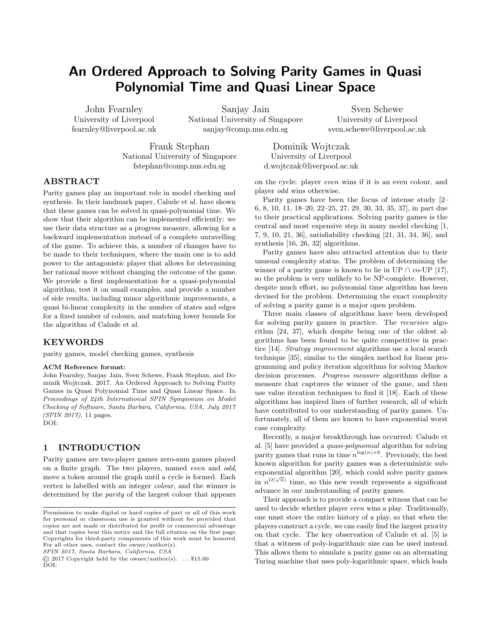# An Ordered Approach to Solving Parity Games in Quasi Polynomial Time and Quasi Linear Space

John Fearnley University of Liverpool fearnley@liverpool.ac.uk

Sanjay Jain National University of Singapore sanjay@comp.nus.edu.sg

Sven Schewe University of Liverpool sven.schewe@liverpool.ac.uk

Frank Stephan National University of Singapore fstephan@comp.nus.edu.sg

Dominik Wojtczak University of Liverpool d.wojtczak@liverpool.ac.uk

# ABSTRACT

Parity games play an important role in model checking and synthesis. In their landmark paper, Calude et al. have shown that these games can be solved in quasi-polynomial time. We show that their algorithm can be implemented efficiently: we use their data structure as a progress measure, allowing for a backward implementation instead of a complete unravelling of the game. To achieve this, a number of changes have to be made to their techniques, where the main one is to add power to the antagonistic player that allows for determining her rational move without changing the outcome of the game. We provide a first implementation for a quasi-polynomial algorithm, test it on small examples, and provide a number of side results, including minor algorithmic improvements, a quasi bi-linear complexity in the number of states and edges for a fixed number of colours, and matching lower bounds for the algorithm of Calude et al.

# KEYWORDS

parity games, model checking games, synthesis

### ACM Reference format:

John Fearnley, Sanjay Jain, Sven Schewe, Frank Stephan, and Dominik Wojtczak. 2017. An Ordered Approach to Solving Parity Games in Quasi Polynomial Time and Quasi Linear Space. In Proceedings of 24th International SPIN Symposium on Model Checking of Software, Santa Barbara, California, USA, July 2017 (SPIN 2017), [11](#page-10-0) pages. DOI:

# 1 INTRODUCTION

Parity games are two-player games zero-sum games played on a finite graph. The two players, named even and odd, move a token around the graph until a cycle is formed. Each vertex is labelled with an integer colour, and the winner is determined by the parity of the largest colour that appears

SPIN 2017, Santa Barbara, California, USA

on the cycle: player even wins if it is an even colour, and player odd wins otherwise.

Parity games have been the focus of intense study [\[2–](#page-9-0) [6,](#page-9-1) [8,](#page-9-2) [10,](#page-9-3) [11,](#page-9-4) [18](#page-9-5)[–20,](#page-9-6) [22](#page-9-7)[–25,](#page-9-8) [27,](#page-9-9) [29,](#page-9-10) [30,](#page-9-11) [33,](#page-9-12) [35,](#page-9-13) [37\]](#page-9-14), in part due to their practical applications. Solving parity games is the central and most expensive step in many model checking [\[1,](#page-9-15) [7,](#page-9-16) [9,](#page-9-17) [10,](#page-9-3) [21,](#page-9-18) [36\]](#page-9-19), satisfiability checking [\[21,](#page-9-18) [31,](#page-9-20) [34,](#page-9-21) [36\]](#page-9-19), and synthesis [\[16,](#page-9-22) [26,](#page-9-23) [32\]](#page-9-24) algorithms.

Parity games have also attracted attention due to their unusual complexity status. The problem of determining the winner of a parity game is known to lie in UP  $\cap$  co-UP [\[17\]](#page-9-25), so the problem is very unlikely to be NP-complete. However, despite much effort, no polynomial time algorithm has been devised for the problem. Determining the exact complexity of solving a parity game is a major open problem.

Three main classes of algorithms have been developed for solving parity games in practice. The recursive algorithm [\[24,](#page-9-26) [37\]](#page-9-14), which despite being one of the oldest algorithms has been found to be quite competitive in practice [\[14\]](#page-9-27). Strategy improvement algorithms use a local search technique [\[35\]](#page-9-13), similar to the simplex method for linear programming and policy iteration algorithms for solving Markov decision processes. Progress measure algorithms define a measure that captures the winner of the game, and then use value iteration techniques to find it [\[18\]](#page-9-5). Each of these algorithms has inspired lines of further research, all of which have contributed to our understanding of parity games. Unfortunately, all of them are known to have exponential worst case complexity.

Recently, a major breakthrough has occurred: Calude et al. [\[5\]](#page-9-28) have provided a quasi-polynomial algorithm for solving parity games that runs in time  $n^{\log(n)+6}$ . Previously, the best known algorithm for parity games was a deterministic subexponential algorithm [\[20\]](#page-9-6), which could solve parity games in  $n^{O(\sqrt{n})}$  time, so this new result represents a significant advance in our understanding of parity games.

Their approach is to provide a compact witness that can be used to decide whether player even wins a play. Traditionally, one must store the entire history of a play, so that when the players construct a cycle, we can easily find the largest priority on that cycle. The key observation of Calude et al. [\[5\]](#page-9-28) is that a witness of poly-logarithmic size can be used instead. This allows them to simulate a parity game on an alternating Turing machine that uses poly-logarithmic space, which leads

Permission to make digital or hard copies of part or all of this work for personal or classroom use is granted without fee provided that copies are not made or distributed for profit or commercial advantage and that copies bear this notice and the full citation on the first page. Copyrights for third-party components of this work must be honored. For all other uses, contact the owner/author(s).

 $\circled{c}$  2017 Copyright held by the owner/author(s). ... \$15.00 DOI: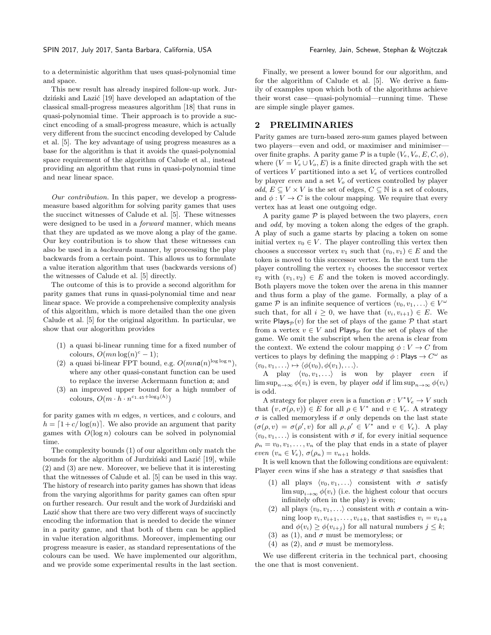to a deterministic algorithm that uses quasi-polynomial time and space.

This new result has already inspired follow-up work. Jur-dziński and Lazić [\[19\]](#page-9-29) have developed an adaptation of the classical small-progress measures algorithm [\[18\]](#page-9-5) that runs in quasi-polynomial time. Their approach is to provide a succinct encoding of a small-progress measure, which is actually very different from the succinct encoding developed by Calude et al. [\[5\]](#page-9-28). The key advantage of using progress measures as a base for the algorithm is that it avoids the quasi-polynomial space requirement of the algorithm of Calude et al., instead providing an algorithm that runs in quasi-polynomial time and near linear space.

Our contribution. In this paper, we develop a progressmeasure based algorithm for solving parity games that uses the succinct witnesses of Calude et al. [\[5\]](#page-9-28). These witnesses were designed to be used in a forward manner, which means that they are updated as we move along a play of the game. Our key contribution is to show that these witnesses can also be used in a backwards manner, by processing the play backwards from a certain point. This allows us to formulate a value iteration algorithm that uses (backwards versions of) the witnesses of Calude et al. [\[5\]](#page-9-28) directly.

The outcome of this is to provide a second algorithm for parity games that runs in quasi-polynomial time and near linear space. We provide a comprehensive complexity analysis of this algorithm, which is more detailed than the one given Calude et al. [\[5\]](#page-9-28) for the original algorithm. In particular, we show that our alogorithm provides

- (1) a quasi bi-linear running time for a fixed number of colours,  $O(mn \log(n)^c - 1);$
- (2) a quasi bi-linear FPT bound, e.g.  $O(mna(n)^{\log \log n})$ , where any other quasi-constant function can be used to replace the inverse Ackermann function a; and
- (3) an improved upper bound for a high number of colours,  $O(m \cdot h \cdot n^{c_{1.45} + \log_2(h)})$

for parity games with  $m$  edges,  $n$  vertices, and  $c$  colours, and  $h = \lfloor 1 + c/\log(n) \rfloor$ . We also provide an argument that parity games with  $O(\log n)$  colours can be solved in polynomial time.

The complexity bounds (1) of our algorithm only match the bounds for the algorithm of Jurdziński and Lazić [\[19\]](#page-9-29), while (2) and (3) are new. Moreover, we believe that it is interesting that the witnesses of Calude et al. [\[5\]](#page-9-28) can be used in this way. The history of research into parity games has shown that ideas from the varying algorithms for parity games can often spur on further research. Our result and the work of Jurdziński and Lazić show that there are two very different ways of succinctly encoding the information that is needed to decide the winner in a parity game, and that both of them can be applied in value iteration algorithms. Moreover, implementing our progress measure is easier, as standard representations of the colours can be used. We have implemented our algorithm, and we provide some experimental results in the last section.

Finally, we present a lower bound for our algorithm, and for the algorithm of Calude et al. [\[5\]](#page-9-28). We derive a family of examples upon which both of the algorithms achieve their worst case—quasi-polynomial—running time. These are simple single player games.

# 2 PRELIMINARIES

Parity games are turn-based zero-sum games played between two players—even and odd, or maximiser and minimiser over finite graphs. A parity game  $\mathcal P$  is a tuple  $(V_e, V_o, E, C, \phi)$ , where  $(V = V_e \cup V_o, E)$  is a finite directed graph with the set of vertices  $V$  partitioned into a set  $V_e$  of vertices controlled by player even and a set  $V<sub>o</sub>$  of vertices controlled by player *odd*,  $E \subseteq V \times V$  is the set of edges,  $C \subseteq \mathbb{N}$  is a set of colours, and  $\phi: V \to C$  is the colour mapping. We require that every vertex has at least one outgoing edge.

A parity game  $P$  is played between the two players, even and odd, by moving a token along the edges of the graph. A play of such a game starts by placing a token on some initial vertex  $v_0 \in V$ . The player controlling this vertex then chooses a successor vertex  $v_1$  such that  $(v_0, v_1) \in E$  and the token is moved to this successor vertex. In the next turn the player controlling the vertex  $v_1$  chooses the successor vertex  $v_2$  with  $(v_1, v_2) \in E$  and the token is moved accordingly. Both players move the token over the arena in this manner and thus form a play of the game. Formally, a play of a game P is an infinite sequence of vertices  $\langle v_0, v_1, \ldots \rangle \in V^{\omega}$ such that, for all  $i \geq 0$ , we have that  $(v_i, v_{i+1}) \in E$ . We write Plays<sub>p</sub> $(v)$  for the set of plays of the game P that start from a vertex  $v \in V$  and Plays<sub>p</sub> for the set of plays of the game. We omit the subscript when the arena is clear from the context. We extend the colour mapping  $\phi: V \to C$  from vertices to plays by defining the mapping  $\phi$ : Plays  $\rightarrow C^{\omega}$  as  $\langle v_0, v_1, \ldots \rangle \mapsto \langle \phi(v_0), \phi(v_1), \ldots \rangle$ .

A play  $\langle v_0, v_1, \ldots \rangle$  is won by player even if  $\limsup_{n\to\infty}\phi(v_i)$  is even, by player *odd* if  $\limsup_{n\to\infty}\phi(v_i)$ is odd.

A strategy for player even is a function  $\sigma: V^*V_e \to V$  such that  $(v, \sigma(\rho, v)) \in E$  for all  $\rho \in V^*$  and  $v \in V_e$ . A strategy σ is called memoryless if σ only depends on the last state  $(\sigma(\rho, v) = \sigma(\rho', v) \text{ for all } \rho, \rho' \in V^* \text{ and } v \in V_e).$  A play  $\langle v_0, v_1, \ldots \rangle$  is consistent with  $\sigma$  if, for every initial sequence  $\rho_n = v_0, v_1, \ldots, v_n$  of the play that ends in a state of player even  $(v_n \in V_e)$ ,  $\sigma(\rho_n) = v_{n+1}$  holds.

It is well known that the following conditions are equivalent: Player even wins if she has a strategy  $\sigma$  that sasisfies that

- (1) all plays  $\langle v_0, v_1, \ldots \rangle$  consistent with  $\sigma$  satisfy  $\limsup_{i\to\infty}\phi(v_i)$  (i.e. the highest colour that occurs infinitely often in the play) is even;
- (2) all plays  $\langle v_0, v_1, \ldots \rangle$  consistent with  $\sigma$  contain a winning loop  $v_i, v_{i+1}, \ldots, v_{i+k}$ , that sastisfies  $v_i = v_{i+k}$ and  $\phi(v_i) \geq \phi(v_{i+j})$  for all natural numbers  $j \leq k$ ;
- (3) as (1), and  $\sigma$  must be memoryless; or
- (4) as (2), and  $\sigma$  must be memoryless.

We use different criteria in the technical part, choosing the one that is most convenient.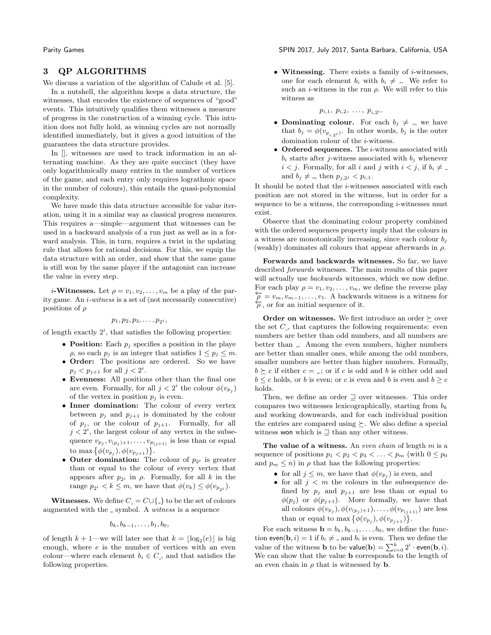### 3 QP ALGORITHMS

We discuss a variation of the algorithm of Calude et al. [\[5\]](#page-9-28).

In a nutshell, the algorithm keeps a data structure, the witnesses, that encodes the existence of sequences of "good" events. This intuitively qualifies them witnesses a measure of progress in the construction of a winning cycle. This intuition does not fully hold, as winning cycles are not normally identified immediately, but it gives a good intuition of the guarantees the data structure provides.

In  $\parallel$ , witnesses are used to track information in an alternating machine. As they are quite succinct (they have only logarithmically many entries in the number of vertices of the game, and each entry only requires lograthmic space in the number of colours), this entails the quasi-polynomial complexity.

We have made this data structure accessible for value iteration, using it in a similar way as classical progress measures. This requires a—simple—argument that witnesses can be used in a backward analysis of a run just as well as in a forward analysis. This, in turn, requires a twist in the updating rule that allows for rational decisions. For this, we equip the data structure with an order, and show that the same game is still won by the same player if the antagonist can increase the value in every step.

*i*-**Witnesses.** Let  $\rho = v_1, v_2, \ldots, v_m$  be a play of the parity game. An i-witness is a set of (not necessarily consecutive) positions of  $\rho$ 

 $p_1, p_2, p_3, \ldots, p_{2^i},$ 

of length exactly  $2^i$ , that satisfies the following properties:

- Position: Each  $p_i$  specifies a position in the playe  $\rho$ , so each  $p_j$  is an integer that satisfies  $1 \leq p_j \leq m$ .
- Order: The positions are ordered. So we have  $p_j < p_{j+1}$  for all  $j < 2^i$ .
- Evenness: All positions other than the final one are even. Formally, for all  $j < 2^i$  the colour  $\phi(v_{p_j})$ of the vertex in position  $p_j$  is even.
- Inner domination: The colour of every vertex between  $p_j$  and  $p_{j+1}$  is dominated by the colour of  $p_j$ , or the colour of  $p_{j+1}$ . Formally, for all  $j < 2^i$ , the largest colour of any vertex in the subsequence  $v_{p_j}, v_{(p_j)+1}, \ldots, v_{p_{(j+1)}}$  is less than or equal to max  $\{\phi(v_{p_j}), \phi(v_{p_{j+1}})\}.$
- Outer domination: The colour of  $p_{2i}$  is greater than or equal to the colour of every vertex that appears after  $p_{2i}$  in  $\rho$ . Formally, for all k in the range  $p_{2i} < k \leq m$ , we have that  $\phi(v_k) \leq \phi(v_{p_{2i}})$ .

**Witnesses.** We define  $C = C \cup \{\_ \}$  to be the set of colours augmented with the symbol. A *witness* is a sequence

$$
b_k, b_{k-1},\ldots, b_1, b_0,
$$

of length  $k + 1$ —we will later see that  $k = \lfloor \log_2(e) \rfloor$  is big enough, where  $e$  is the number of vertices with an even colour—where each element  $b_i \in C_i$ , and that satisfies the following properties.

Parity Games SPIN 2017, July 2017, Santa Barbara, California, USA

• Witnessing. There exists a family of  $i$ -witnesses, one for each element  $b_i$  with  $b_i \neq \dots$ . We refer to such an *i*-witness in the run  $\rho$ . We will refer to this witness as

$$
p_{i,1}, p_{i,2}, \ldots, p_{i,2^i}.
$$

- Dominating colour. For each  $b_j \neq b_j$ , we have that  $b_j = \phi(v_{p_{i,2}i})$ . In other words,  $b_j$  is the outer domination colour of the i-witness.
- Ordered sequences. The *i*-witness associated with  $b_i$  starts after j-witness associated with  $b_i$  whenever  $i < j.$  Formally, for all  $i$  and  $j$  with  $i < j,$  if  $b_i \neq \emptyset$ and  $b_j \neq A_j$ , then  $p_{j,2j} < p_{i,1}$ .

It should be noted that the  $i$ -witnesses associated with each position are not stored in the witness, but in order for a sequence to be a witness, the corresponding  $i$ -witnesses must exist.

Observe that the dominating colour property combined with the ordered sequences property imply that the colours in a witness are monotonically increasing, since each colour  $b_i$ (weakly) dominates all colours that appear afterwards in  $\rho$ .

Forwards and backwards witnesses. So far, we have described forwards witnesses. The main results of this paper will actually use *backwards* witnesses, which we now define. For each play  $\rho = v_1, v_2, \ldots, v_m$ , we define the reverse play  $\overleftarrow{\rho} = v_m, v_{m-1}, \ldots, v_1$ . A backwards witness is a witness for  $\overleftarrow{\rho}$ , or for an initial sequence of it.

Order on witnesses. We first introduce an order  $\succeq$  over the set  $C<sub>-</sub>$ , that captures the following requirements: even numbers are better than odd numbers, and all numbers are better than . Among the even numbers, higher numbers are better than smaller ones, while among the odd numbers, smaller numbers are better than higher numbers. Formally,  $b \succeq c$  if either  $c = 1$ ; or if c is odd and b is either odd and  $b \leq c$  holds, or b is even; or c is even and b is even and  $b \geq c$ holds.

Then, we define an order  $\supseteq$  over witnesses. This order compares two witnesses lexicographically, starting from  $b_k$ and working downwards, and for each individual position the entries are compared using  $\succeq$ . We also define a special witness won which is  $\supseteq$  than any other witness.

The value of a witness. An even chain of length  $m$  is a sequence of positions  $p_1 < p_2 < p_3 < \ldots < p_m$  (with  $0 \leq p_0$ ) and  $p_m \leq n$ ) in  $\rho$  that has the following properties:

- for all  $j \leq m$ , we have that  $\phi(v_{p_j})$  is even, and
- for all  $j < m$  the colours in the subsequence defined by  $p_j$  and  $p_{j+1}$  are less than or equal to  $\phi(p_j)$  or  $\phi(p_{j+1})$ . More formally, we have that all colours  $\phi(v_{p_j}), \phi(v_{(p_j)+1}), \ldots, \phi(v_{p_{(j+1)}})$  are less than or equal to max  $\{\phi(v_{p_j}), \phi(v_{p_{j+1}})\}.$

For each witness  $\mathbf{b} = b_k, b_{k-1}, \ldots, b_0$ , we define the function even(**b**, *i*) = 1 if  $b_i \neq$  \_ and  $b_i$  is even. Then we define the value of the witness **b** to be value(**b**) =  $\sum_{i=0}^{k} 2^i \cdot \text{even}(\mathbf{b}, i)$ . We can show that the value b corresponds to the length of an even chain in  $\rho$  that is witnessed by **b**.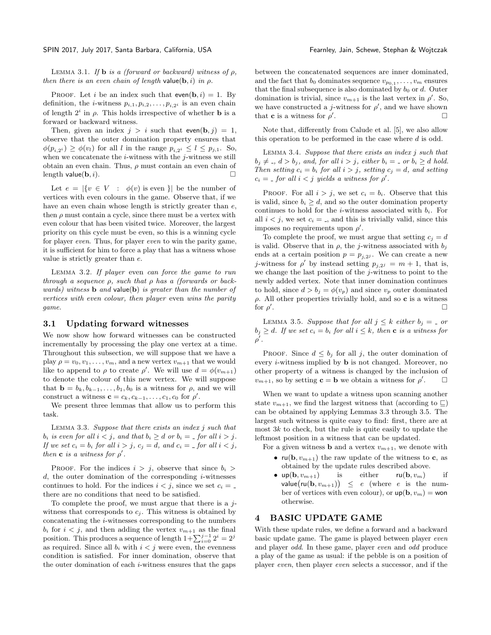LEMMA 3.1. If **b** is a (forward or backward) witness of  $\rho$ , then there is an even chain of length value(b, i) in  $\rho$ .

PROOF. Let i be an index such that even(b, i) = 1. By definition, the *i*-witness  $p_{i,1}, p_{i,2}, \ldots, p_{i,2i}$  is an even chain of length  $2^i$  in  $\rho$ . This holds irrespective of whether **b** is a forward or backward witness.

Then, given an index  $j > i$  such that even(b, j) = 1, observe that the outer domination property ensures that  $\phi(p_{i,2^i}) \geq \phi(v_l)$  for all l in the range  $p_{i,2^i} \leq l \leq p_{j,1}$ . So, when we concatenate the  $i$ -witness with the  $j$ -witness we still obtain an even chain. Thus,  $\rho$  must contain an even chain of length value(b, i).  $\square$ 

Let  $e = |\{v \in V : \phi(v) \text{ is even }\}|$  be the number of vertices with even colours in the game. Observe that, if we have an even chain whose length is strictly greater than  $e$ , then  $\rho$  must contain a cycle, since there must be a vertex with even colour that has been visited twice. Moreover, the largest priority on this cycle must be even, so this is a winning cycle for player even. Thus, for player even to win the parity game, it is sufficient for him to force a play that has a witness whose value is strictly greater than e.

Lemma 3.2. If player even can force the game to run through a sequence  $\rho$ , such that  $\rho$  has a (forwards or backwards) witness **b** and value(b) is greater than the number of vertices with even colour, then player even wins the parity game.

#### 3.1 Updating forward witnesses

We now show how forward witnesses can be constructed incrementally by processing the play one vertex at a time. Throughout this subsection, we will suppose that we have a play  $\rho = v_0, v_1, \ldots, v_m$ , and a new vertex  $v_{m+1}$  that we would like to append to  $\rho$  to create  $\rho'$ . We will use  $d = \phi(v_{m+1})$ to denote the colour of this new vertex. We will suppose that  $\mathbf{b} = b_k, b_{k-1}, \ldots, b_1, b_0$  is a witness for  $\rho$ , and we will construct a witness  $\mathbf{c} = c_k, c_{k-1}, \ldots, c_1, c_0$  for  $\rho'$ .

We present three lemmas that allow us to perform this task.

<span id="page-3-0"></span>LEMMA 3.3. Suppose that there exists an index  $j$  such that  $b_i$  is even for all  $i < j$ , and that  $b_i \geq d$  or  $b_i = -$  for all  $i > j$ . If we set  $c_i = b_i$  for all  $i > j$ ,  $c_j = d$ , and  $c_i = -$  for all  $i < j$ , then **c** is a witness for  $\rho'$ .

PROOF. For the indices  $i > j$ , observe that since  $b_i > j$  $d$ , the outer domination of the corresponding  $i$ -witnesses continues to hold. For the indices  $i < j$ , since we set  $c_i =$ there are no conditions that need to be satisfied.

To complete the proof, we must argue that there is a  $j$ witness that corresponds to  $c_j$ . This witness is obtained by concatenating the i-witnesses corresponding to the numbers  $b_i$  for  $i < j$ , and then adding the vertex  $v_{m+1}$  as the final position. This produces a sequence of length  $1+\sum_{i=0}^{j-1} 2^i = 2^j$ as required. Since all  $b_i$  with  $i < j$  were even, the evenness condition is satisfied. For inner domination, observe that the outer domination of each  $i$ -witness ensures that the gaps

between the concatenated sequences are inner dominated, and the fact that  $b_0$  dominates sequence  $v_{p_0,1}, \ldots, v_m$  ensures that the final subsequence is also dominated by  $b_0$  or  $d$ . Outer domination is trivial, since  $v_{m+1}$  is the last vertex in  $\rho'$ . So, we have constructed a j-witness for  $\rho'$ , and we have shown that **c** is a witness for  $\rho'$ .

Note that, differently from Calude et al. [\[5\]](#page-9-28), we also allow this operation to be performed in the case where d is odd.

LEMMA 3.4. Suppose that there exists an index  $j$  such that  $b_j \neq b_j$ , and, for all  $i > j$ , either  $b_i = c_j$  or  $b_i \geq d$  hold. Then setting  $c_i = b_i$  for all  $i > j$ , setting  $c_j = d$ , and setting  $c_i =$  for all  $i < j$  yields a witness for  $\rho'$ .

PROOF. For all  $i > j$ , we set  $c_i = b_i$ . Observe that this is valid, since  $b_i \geq d$ , and so the outer domination property continues to hold for the *i*-witness associated with  $b_i$ . For all  $i < j$ , we set  $c_i = j$ , and this is trivially valid, since this imposes no requirements upon  $\rho'$ .

To complete the proof, we must argue that setting  $c_i = d$ is valid. Observe that in  $\rho$ , the *j*-witness associated with  $b_j$ ends at a certain position  $p = p_{j,2}$ . We can create a new j-witness for  $\rho'$  by instead setting  $p_{j,2j} = m + 1$ , that is, we change the last position of the  $j$ -witness to point to the newly added vertex. Note that inner domination continues to hold, since  $d > b_i = \phi(v_p)$  and since  $v_p$  outer dominated  $\rho$ . All other properties trivially hold, and so **c** is a witness for  $\rho'$ . В последните поставите на селото на селото на селото на селото на селото на селото на селото на селото на се<br>Селото на селото на селото на селото на селото на селото на селото на селото на селото на селото на селото на

<span id="page-3-1"></span>LEMMA 3.5. Suppose that for all  $j \leq k$  either  $b_j = c$  or  $b_j \geq d$ . If we set  $c_i = b_i$  for all  $i \leq k$ , then **c** is a witness for  $\rho'$  .

PROOF. Since  $d \leq b_j$  for all j, the outer domination of every i-witness implied by b is not changed. Moreover, no other property of a witness is changed by the inclusion of  $v_{m+1}$ , so by setting **c** = **b** we obtain a witness for  $\rho'$  $\Box$ 

When we want to update a witness upon scanning another state  $v_{m+1}$ , we find the largest witness that (according to  $\Box$ ) can be obtained by applying Lemmas [3.3](#page-3-0) through [3.5.](#page-3-1) The largest such witness is quite easy to find: first, there are at most  $3k$  to check, but the rule is quite easily to update the leftmost position in a witness that can be updated.

For a given witness **b** and a vertex  $v_{m+1}$ , we denote with

- $ru(b, v_{m+1})$  the raw update of the witness to c, as obtained by the update rules described above.
- up(b,  $v_{m+1}$ ) is either ru(b,  $v_m$ ) if value(ru(b,  $v_{m+1}$ ))  $\leq e$  (where e is the number of vertices with even colour), or  $up(b, v_m) = won$ otherwise.

#### 4 BASIC UPDATE GAME

With these update rules, we define a forward and a backward basic update game. The game is played between player even and player odd. In these game, player even and odd produce a play of the game as usual: if the pebble is on a position of player even, then player even selects a successor, and if the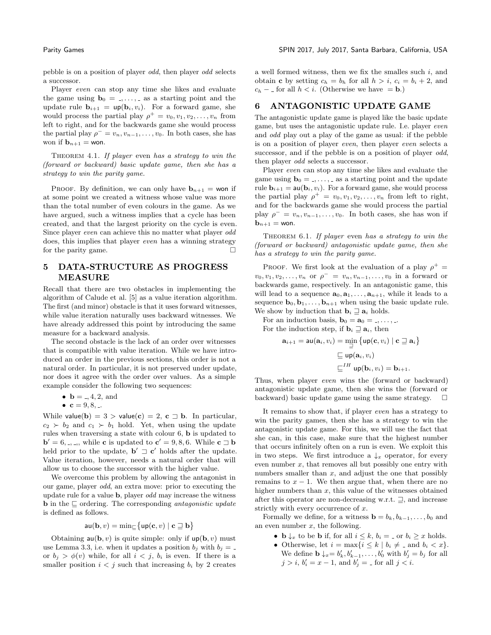pebble is on a position of player odd, then player odd selects a successor.

Player even can stop any time she likes and evaluate the game using  $\mathbf{b}_0 = 1, \ldots, 1$  as a starting point and the update rule  $\mathbf{b}_{i+1} = \mathsf{up}(\mathbf{b}_i, v_i)$ . For a forward game, she would process the partial play  $\rho^+ = v_0, v_1, v_2, \ldots, v_n$  from left to right, and for the backwards game she would process the partial play  $\rho^- = v_n, v_{n-1}, \ldots, v_0$ . In both cases, she has won if  $\mathbf{b}_{n+1} = \text{won}$ .

THEOREM 4.1. If player even has a strategy to win the (forward or backward) basic update game, then she has a strategy to win the parity game.

PROOF. By definition, we can only have  $\mathbf{b}_{n+1} = \mathbf{w}$  if at some point we created a witness whose value was more than the total number of even colours in the game. As we have argued, such a witness implies that a cycle has been created, and that the largest priority on the cycle is even. Since player even can achieve this no matter what player odd does, this implies that player even has a winning strategy for the parity game.

# 5 DATA-STRUCTURE AS PROGRESS MEASURE

Recall that there are two obstacles in implementing the algorithm of Calude et al. [\[5\]](#page-9-28) as a value iteration algorithm. The first (and minor) obstacle is that it uses forward witnesses, while value iteration naturally uses backward witnesses. We have already addressed this point by introducing the same measure for a backward analysis.

The second obstacle is the lack of an order over witnesses that is compatible with value iteration. While we have introduced an order in the previous sections, this order is not a natural order. In particular, it is not preserved under update, nor does it agree with the order over values. As a simple example consider the following two sequences:

•  $$ 

$$
\bullet \ \mathbf{c} = 9, 8, \dots
$$

While value(b) = 3 > value(c) = 2, c  $\exists$  b. In particular,  $c_2 \succ b_2$  and  $c_1 \succ b_1$  hold. Yet, when using the update rules when traversing a state with colour 6, b is updated to  $\mathbf{b}' = 6, \ldots, \ldots$ , while **c** is updated to  $\mathbf{c}' = 9, 8, 6$ . While  $\mathbf{c} \sqsupset \mathbf{b}$ held prior to the update,  $\mathbf{b}' \sqsupset \mathbf{c}'$  holds after the update. Value iteration, however, needs a natural order that will allow us to choose the successor with the higher value.

We overcome this problem by allowing the antagonist in our game, player odd, an extra move: prior to executing the update rule for a value b, player odd may increase the witness **b** in the  $\Box$  ordering. The corresponding *antagonistic update* is defined as follows.

$$
\mathsf{au}(\mathbf{b}, v) = \min_{\sqsubseteq} \{ \mathsf{up}(\mathbf{c}, v) \mid \mathbf{c} \sqsupseteq \mathbf{b} \}
$$

Obtaining  $\mathsf{au}(\mathbf{b}, v)$  is quite simple: only if  $\mathsf{up}(\mathbf{b}, v)$  must use Lemma [3.3,](#page-3-0) i.e. when it updates a position  $b_j$  with  $b_j =$ or  $b_j > \phi(v)$  while, for all  $i < j$ ,  $b_i$  is even. If there is a smaller position  $i < j$  such that increasing  $b_i$  by 2 creates a well formed witness, then we fix the smalles such  $i$ , and obtain c by setting  $c_h = b_h$  for all  $h > i$ ,  $c_i = b_i + 2$ , and  $c_h$  – for all  $h < i$ . (Otherwise we have = **b**.)

# 6 ANTAGONISTIC UPDATE GAME

The antagonistic update game is played like the basic update game, but uses the antagonistic update rule. I.e. player even and odd play out a play of the game as usual: if the pebble is on a position of player even, then player even selects a successor, and if the pebble is on a position of player *odd*, then player *odd* selects a successor.

Player even can stop any time she likes and evaluate the game using  $\mathbf{b}_0 = \dots$ , as a starting point and the update rule  $\mathbf{b}_{i+1} = \mathsf{au}(\mathbf{b}_i, v_i)$ . For a forward game, she would process the partial play  $\rho^+ = v_0, v_1, v_2, \ldots, v_n$  from left to right, and for the backwards game she would process the partial play  $\rho^- = v_n, v_{n-1}, \ldots, v_0$ . In both cases, she has won if  $\mathbf{b}_{n+1} = \mathsf{won}.$ 

THEOREM 6.1. If player even has a strategy to win the (forward or backward) antagonistic update game, then she has a strategy to win the parity game.

PROOF. We first look at the evaluation of a play  $\rho^+$  =  $v_0, v_1, v_2, \ldots, v_n$  or  $\rho^- = v_n, v_{n-1}, \ldots, v_0$  in a forward or backwards game, respectively. In an antagonistic game, this will lead to a sequence  $\mathbf{a}_0, \mathbf{a}_1, \ldots, \mathbf{a}_{n+1}$ , while it leads to a sequence  $\mathbf{b}_0, \mathbf{b}_1, \ldots, \mathbf{b}_{n+1}$  when using the basic update rule. We show by induction that  $\mathbf{b}_i \sqsupseteq \mathbf{a}_i$  holds.

For an induction basis,  $\mathbf{b}_0 = \mathbf{a}_0 = \dots$ , ...

For the induction step, if  $\mathbf{b}_i \sqsupseteq \mathbf{a}_i$ , then

$$
\mathbf{a}_{i+1} = \mathbf{a}\mathbf{u}(\mathbf{a}_i, v_i) = \min_{\substack{\rightrightarrows \\ \rightrightarrows}} \{ \mathbf{u}p(\mathbf{c}, v_i) \mid \mathbf{c} \sqsupseteq \mathbf{a}_i \}
$$

$$
\sqsubseteq \mathbf{u}p(\mathbf{a}_i, v_i)
$$

$$
\sqsubseteq^{IH} \mathbf{u}p(\mathbf{b}_i, v_i) = \mathbf{b}_{i+1}.
$$

Thus, when player even wins the (forward or backward) antagonistic update game, then she wins the (forward or backward) basic update game using the same strategy.  $\square$ 

It remains to show that, if player even has a strategy to win the parity games, then she has a strategy to win the antagonistic update game. For this, we will use the fact that she can, in this case, make sure that the highest number that occurs infinitely often on a run is even. We exploit this in two steps. We first introduce a  $\downarrow_x$  operator, for every even number  $x$ , that removes all but possibly one entry with numbers smaller than  $x$ , and adjust the one that possibly remains to  $x - 1$ . We then argue that, when there are no higher numbers than  $x$ , this value of the witnesses obtained after this operator are non-decreasing w.r.t.  $\exists$ , and increase strictly with every occurrence of x.

Formally we define, for a witness  $\mathbf{b} = b_k, b_{k-1}, \ldots, b_0$  and an even number  $x$ , the following.

- **b**  $\downarrow_x$  to be **b** if, for all  $i \leq k$ ,  $b_i = \bot$  or  $b_i \geq x$  holds.
- Otherwise, let  $i = \max\{i \leq k \mid b_i \neq \bot \text{ and } b_i < x\}.$ We define  $\mathbf{b} \downarrow_x = b'_k, b'_{k-1}, \ldots, b'_0$  with  $b'_j = b_j$  for all  $j > i$ ,  $b'_i = x - 1$ , and  $b'_j = -$  for all  $j < i$ .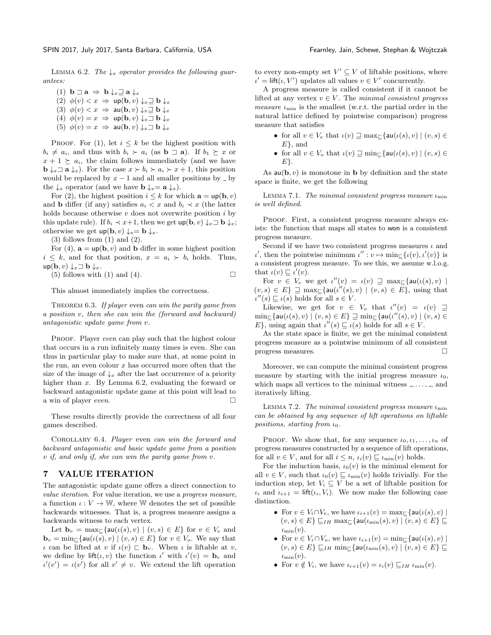<span id="page-5-0"></span>LEMMA 6.2. The  $\downarrow_x$  operator provides the following quarantees:

- (1)  $\mathbf{b} \sqsupset \mathbf{a} \Rightarrow \mathbf{b} \downarrow_x \sqsupseteq \mathbf{a} \downarrow_x$ (2)  $\phi(v) < x \Rightarrow \text{up}(\mathbf{b}, v) \downarrow_x \exists \mathbf{b} \downarrow_x$ (3)  $\phi(v) < x \Rightarrow \text{au}(\textbf{b}, v) \downarrow x \equiv \textbf{b} \downarrow x$ (4)  $\phi(v) = x \implies \text{up}(\mathbf{b}, v) \downarrow_x \exists \mathbf{b} \downarrow_x$
- (5)  $\phi(v) = x \Rightarrow \text{au}(\textbf{b}, v) \downarrow_x \exists \textbf{b} \downarrow_x$

PROOF. For (1), let  $i \leq k$  be the highest position with  $b_i \neq a_i$ , and thus with  $b_i \succ a_i$  (as  $\mathbf{b} \sqsupset \mathbf{a}$ ). If  $b_1 \succeq x$  or  $x + 1 \ge a_i$ , the claim follows immediately (and we have  $\mathbf{b} \downarrow_x \mathbf{a} \downarrow_x$ ). For the case  $x \succ b_i \succ a_i \succ x + 1$ , this position would be replaced by  $x - 1$  and all smaller positions by  $\Box$  by the  $\downarrow_x$  operator (and we have  $\mathbf{b} \downarrow_x = \mathbf{a} \downarrow_x$ ).

For (2), the highest position  $i \leq k$  for which  $\mathbf{a} = \text{up}(\mathbf{b}, v)$ and **b** differ (if any) satisfies  $a_i < x$  and  $b_i \prec x$  (the latter holds because otherwise  $v$  does not overwrite position  $i$  by this update rule). If  $b_i \prec x+1$ , then we get  $\textsf{up}(\textbf{b}, v) \downarrow_x \square \textbf{b} \downarrow_x$ ; otherwise we get  $up(b, v) \downarrow_x = b \downarrow_x$ .

 $(3)$  follows from  $(1)$  and  $(2)$ .

For (4),  $\mathbf{a} = \text{up}(\mathbf{b}, v)$  and **b** differ in some highest position  $i \leq k$ , and for that position,  $x = a_i \succ b_i$  holds. Thus,  $up(\mathbf{b}, v) \downarrow_x \exists \mathbf{b} \downarrow_x$ .

(5) follows with (1) and (4).  $\Box$ 

This almost immediately implies the correctness.

THEOREM 6.3. If player even can win the parity game from a position v, then she can win the (forward and backward) antagonistic update game from v.

PROOF. Player even can play such that the highest colour that occurs in a run infinitely many times is even. She can thus in particular play to make sure that, at some point in the run, an even colour  $x$  has occurred more often that the size of the image of  $\downarrow_x$  after the last occurrence of a priority higher than x. By Lemma [6.2,](#page-5-0) evaluating the forward or backward antagonistic update game at this point will lead to a win of player even.

These results directly provide the correctness of all four games described.

COROLLARY 6.4. Player even can win the forward and backward antagonistic and basic update game from a position v if, and only if, she can win the parity game from v.

# 7 VALUE ITERATION

The antagonistic update game offers a direct connection to value iteration. For value iteration, we use a progress measure, a function  $\iota: V \to \mathbb{W}$ , where W denotes the set of possible backwards witnesses. That is, a progress measure assigns a backwards witness to each vertex.

Let  $\mathbf{b}_v = \max_{\square} \{ \mathsf{au}(\iota(s), v) \mid (v, s) \in E \}$  for  $v \in V_e$  and  $\mathbf{b}_v = \min_{\mathbf{a}} \{ \mathsf{au}(\iota(s), v) \mid (v, s) \in E \}$  for  $v \in V_o$ . We say that ι can be lifted at v if  $ι(v) ⊂ b<sub>v</sub>$ . When *ι* is liftable at v, we define by  $\text{lift}(\iota, v)$  the function  $\iota'$  with  $\iota'(v) = \mathbf{b}_v$  and  $u'(v') = u(v')$  for all  $v' \neq v$ . We extend the lift operation

to every non-empty set  $V' \subseteq V$  of liftable positions, where  $u' = \text{lift}(u, V')$  updates all values  $v \in V'$  concurrently.

A progress measure is called consistent if it cannot be lifted at any vertex  $v \in V$ . The minimal consistent progress *measure*  $\iota_{\min}$  is the smallest (w.r.t. the partial order in the natural lattice defined by pointwise comparison) progress measure that satisfies

- for all  $v \in V_e$  that  $\iota(v) \sqsupseteq \max_{\sqsubset} {\mathsf{a}}\mathsf{u}(\iota(s), v) \mid (v, s) \in$  $E\}$ , and
- for all  $v \in V_o$  that  $\iota(v) \sqsupseteq \min_{\sqsubset} \{ \mathsf{au}(\iota(s), v) \mid (v, s) \in$  $E$ .

As  $au(b, v)$  is monotone in b by definition and the state space is finite, we get the following

LEMMA 7.1. The minimal consistent progress measure  $\iota_{\min}$ is well defined.

PROOF. First, a consistent progress measure always exists: the function that maps all states to won is a consistent progress measure.

Second if we have two consistent progress measures  $\iota$  and  $\iota'$ , then the pointwise minimum  $\iota'' : v \mapsto \min_{\mathcal{L}} {\{\iota(v), \iota'(v)\}}$  is a consistent progress measure. To see this, we assume w.l.o.g. that  $\iota(v) \sqsubseteq \iota'(v)$ .

For  $v \in V_e$  we get  $\iota''(v) = \iota(v) \supseteq \max_{\square} \{au(\iota(s), v) \mid$  $(v, s) \in E$   $\supseteq$  max<sub> $\sqsubset$ </sub> {au( $\iota''(s), v$ ) |  $(v, s) \in E$ }, using that  $\iota''(s) \sqsubseteq \iota(s)$  holds for all  $s \in V$ .

Likewise, we get for  $v \in V_o$  that  $\iota''(v) = \iota(v) \supseteq$  $\min_{\mathsf{m}} \{ \mathsf{au}(\iota(s), v) \mid (v, s) \in E \} \supseteq \min_{\mathsf{m}} \{ \mathsf{au}(\iota''(s), v) \mid (v, s) \in E \}$ E}, using again that  $\iota''(s) \sqsubseteq \iota(s)$  holds for all  $s \in V$ .

As the state space is finite, we get the minimal consistent progress measure as a pointwise minimum of all consistent progress measures.

Moreover, we can compute the minimal consistent progress measure by starting with the initial progress measure  $\iota_0$ , which maps all vertices to the minimal witness  $\ldots$ ,  $\ldots$ , and iteratively lifting.

<span id="page-5-1"></span>LEMMA 7.2. The minimal consistent progress measure  $\iota_{\min}$ can be obtained by any sequence of lift operations on liftable positions, starting from  $\iota_0$ .

PROOF. We show that, for any sequence  $\iota_0, \iota_1, \ldots, \iota_n$  of progress measures constructed by a sequence of lift operations, for all  $v \in V$ , and for all  $i \leq n$ ,  $\iota_i(v) \sqsubseteq \iota_{\min}(v)$  holds.

For the induction basis,  $\iota_0(v)$  is the minimal element for all  $v \in V$ , such that  $\iota_0(v) \sqsubseteq \iota_{\min}(v)$  holds trivially. For the induction step, let  $V_i \subseteq V$  be a set of liftable position for  $\iota_i$  and  $\iota_{i+1} = \text{lift}(\iota_i, V_i)$ . We now make the following case distinction.

- For  $v \in V_i \cap V_e$ , we have  $\iota_{i+1}(v) = \max_{\square} {\mathfrak{a}} u(\iota(s), v)$  $(v, s) \in E$   $\square_{IH}$  max $\square$ {au $(\iota_{\min}(s), v) \mid (v, s) \in E$ }  $\square$  $\iota_{\min}(v).$
- For  $v \in V_i \cap V_o$ , we have  $\iota_{i+1}(v) = \min_{\mathcal{I}} \{au(\iota(s), v) \mid$  $(v, s) \in E$   $\subseteq$   $I$ H  $min$   $\subseteq$   $\{au(\iota_{\min}(s), v) \mid (v, s) \in E\}$   $\subseteq$  $\iota_{\min}(v).$
- For  $v \notin V_i$ , we have  $\iota_{i+1}(v) = \iota_i(v) \sqsubseteq_{IH} \iota_{\min}(v)$ .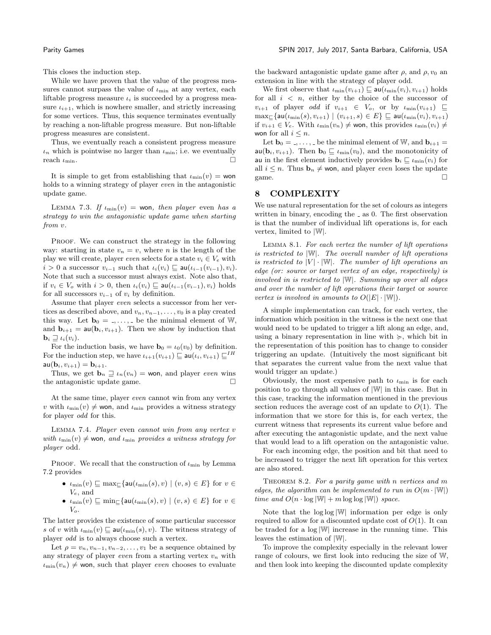This closes the induction step.

While we have proven that the value of the progress measures cannot surpass the value of  $\iota_{\min}$  at any vertex, each liftable progress measure  $\iota_i$  is succeeded by a progress measure  $\iota_{i+1}$ , which is nowhere smaller, and strictly increasing for some vertices. Thus, this sequence terminates eventually by reaching a non-liftable progress measure. But non-liftable progress measures are consistent.

Thus, we eventually reach a consistent progress measure  $\iota_n$  which is pointwise no larger than  $\iota_{\min}$ ; i.e. we eventually reach  $\iota_{\min}$ .

It is simple to get from establishing that  $\iota_{\min}(v) = \text{won}$ holds to a winning strategy of player even in the antagonistic update game.

LEMMA 7.3. If  $\iota_{\min}(v) =$  won, then player even has a strategy to win the antagonistic update game when starting from v.

PROOF. We can construct the strategy in the following way: starting in state  $v_n = v$ , where *n* is the length of the play we will create, player even selects for a state  $v_i \in V_e$  with  $i > 0$  a successor  $v_{i-1}$  such that  $\iota_i(v_i) \sqsubseteq \text{au}(\iota_{i-1}(v_{i-1}), v_i)$ . Note that such a successor must always exist. Note also that, if  $v_i \in V_o$  with  $i > 0$ , then  $\iota_i(v_i) \sqsubseteq \mathsf{au}(\iota_{i-1}(v_{i-1}), v_i)$  holds for all successors  $v_{i-1}$  of  $v_i$  by definition.

Assume that player even selects a successor from her vertices as described above, and  $v_n, v_{n-1}, \ldots, v_0$  is a play created this way. Let  $\mathbf{b}_0 = 1, \ldots, 1$  be the minimal element of W, and  $\mathbf{b}_{i+1} = \mathsf{au}(\mathbf{b}_i, v_{i+1})$ . Then we show by induction that  $\mathbf{b}_i \sqsupseteq \iota_i(v_i)$ .

For the induction basis, we have  $\mathbf{b}_0 = \iota_0(v_0)$  by definition. For the induction step, we have  $\iota_{i+1}(v_{i+1}) \sqsubseteq \mathsf{au}(\iota_i, v_{i+1}) \sqsubseteq^{IH}$  $au(**b**<sub>i</sub>, *v*<sub>i+1</sub>) = **b**<sub>i+1</sub>.$ 

Thus, we get  $\mathbf{b}_n \sqsupseteq \iota_n(v_n) = \text{won}$ , and player even wins the antagonistic update game.

At the same time, player even cannot win from any vertex v with  $\iota_{\min}(v) \neq \text{won}$ , and  $\iota_{\min}$  provides a witness strategy for player odd for this.

LEMMA 7.4. Player even cannot win from any vertex  $v$ with  $\iota_{\min}(v) \neq \text{won}, \text{ and } \iota_{\min}$  provides a witness strategy for player odd.

PROOF. We recall that the construction of  $\iota_{\min}$  by Lemma [7.2](#page-5-1) provides

- $\bullet \ \ _{{\rm {\it min}}}(v) \sqsubseteq {\rm max}_{\sqsubseteq}\{ {\sf au}(\iota_{\rm min}(s), v) \ | \ (v, s) \in E\}$  for  $v \in$ Ve, and
- $\iota_{\min}(v) \sqsubseteq \min_{\mathcal{L}}\{au(\iota_{\min}(s), v) \mid (v, s) \in E\}$  for  $v \in$  $V_{o}$ .

The latter provides the existence of some particular successor s of v with  $\iota_{\min}(v) \sqsubseteq \mathsf{au}(\iota_{\min}(s), v)$ . The witness strategy of player odd is to always choose such a vertex.

Let  $\rho = v_n, v_{n-1}, v_{n-2}, \ldots, v_1$  be a sequence obtained by any strategy of player even from a starting vertex  $v_n$  with  $u_{\min}(v_n) \neq \text{won}$ , such that player *even* chooses to evaluate the backward antagonistic update game after  $\rho$ , and  $\rho$ ,  $v_0$  and extension in line with the strategy of player odd.

We first observe that  $\iota_{\min}(v_{i+1}) \sqsubseteq \mathsf{au}(\iota_{\min}(v_i), v_{i+1})$  holds for all  $i \leq n$ , either by the choice of the successor of  $v_{i+1}$  of player *odd* if  $v_{i+1} \in V_o$ , or by  $\iota_{\min}(v_{i+1}) \subseteq$  $\max_{\sqsubseteq} \{ \mathsf{au}(\iota_{\min}(s), v_{i+1}) \mid (v_{i+1}, s) \in E \} \sqsubseteq \mathsf{au}(\iota_{\min}(v_i), v_{i+1})$ if  $v_{i+1} \in V_e$ . With  $\iota_{\min}(v_n) \neq \text{won}$ , this provides  $\iota_{\min}(v_i) \neq$ won for all  $i \leq n$ .

Let  $\mathbf{b}_0 = 1, \ldots, 1$  be the minimal element of W, and  $\mathbf{b}_{i+1} =$  $\mathbf{a}u(\mathbf{b}_i, v_{i+1})$ . Then  $\mathbf{b}_0 \sqsubseteq \iota_{\min}(v_0)$ , and the monotonicity of au in the first element inductively provides  $\mathbf{b}_i \sqsubseteq \iota_{\min}(v_i)$  for all  $i \leq n$ . Thus  $\mathbf{b}_n \neq \mathbf{w}$ on, and player *even* loses the update game.

# 8 COMPLEXITY

We use natural representation for the set of colours as integers written in binary, encoding the  $\overline{\ }$  as 0. The first observation is that the number of individual lift operations is, for each vertex, limited to |W|.

Lemma 8.1. For each vertex the number of lift operations is restricted to |W|. The overall number of lift operations is restricted to  $|V| \cdot |W|$ . The number of lift operations an edge (or: source or target vertex of an edge, respectively) is involved in is restricted to |W|. Summing up over all edges and over the number of lift operations their target or source vertex is involved in amounts to  $O(|E| \cdot |W|)$ .

A simple implementation can track, for each vertex, the information which position in the witness is the next one that would need to be updated to trigger a lift along an edge, and, using a binary representation in line with  $\succeq$ , which bit in the representation of this position has to change to consider triggering an update. (Intuitively the most significant bit that separates the current value from the next value that would trigger an update.)

Obviously, the most expensive path to  $\iota_{\min}$  is for each position to go through all values of |W| in this case. But in this case, tracking the information mentioned in the previous section reduces the average cost of an update to  $O(1)$ . The information that we store for this is, for each vertex, the current witness that represents its current value before and after executing the antagonistic update, and the next value that would lead to a lift operation on the antagonistic value.

For each incoming edge, the position and bit that need to be increased to trigger the next lift operation for this vertex are also stored.

<span id="page-6-0"></span>THEOREM 8.2. For a parity game with n vertices and m edges, the algorithm can be implemented to run in  $O(m \cdot |W|)$ time and  $O(n \cdot \log |\mathbb{W}| + m \log \log |\mathbb{W}|)$  space.

Note that the log log |W| information per edge is only required to allow for a discounted update cost of  $O(1)$ . It can be traded for a log |W| increase in the running time. This leaves the estimation of |W|.

To improve the complexity especially in the relevant lower range of colours, we first look into reducing the size of W, and then look into keeping the discounted update complexity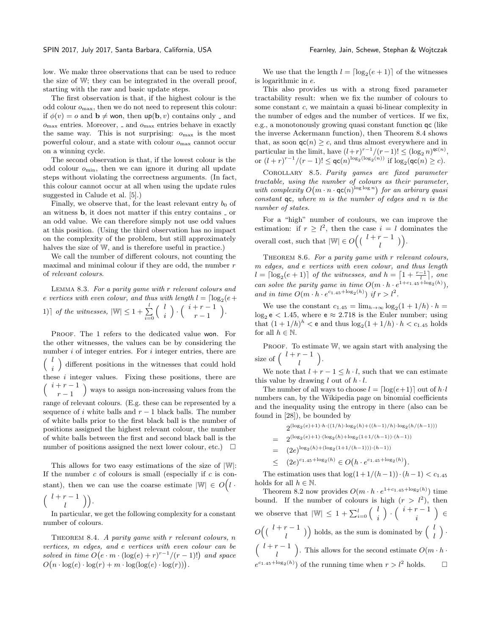low. We make three observations that can be used to reduce the size of W; they can be integrated in the overall proof, starting with the raw and basic update steps.

The first observation is that, if the highest colour is the odd colour  $o_{\text{max}}$ , then we do not need to represent this colour: if  $\phi(v) = o$  and  $\mathbf{b} \neq \mathbf{w}$  on, then  $\mathbf{up}(\mathbf{b}, v)$  contains only  $\Box$  and  $o_{\text{max}}$  entries. Moreover,  $\overline{a}$  and  $o_{\text{max}}$  entries behave in exactly the same way. This is not surprising:  $o_{\text{max}}$  is the most powerful colour, and a state with colour  $o_{\text{max}}$  cannot occur on a winning cycle.

The second observation is that, if the lowest colour is the odd colour  $o_{\min}$ , then we can ignore it during all update steps without violating the correctness arguments. (In fact, this colour cannot occur at all when using the update rules suggested in Calude et al. [\[5\]](#page-9-28).)

Finally, we observe that, for the least relevant entry  $b_0$  of an witness  $\mathbf b$ , it does not matter if this entry contains  $\lrcorner$  or an odd value. We can therefore simply not use odd values at this position. (Using the third observation has no impact on the complexity of the problem, but still approximately halves the size of W, and is therefore useful in practice.)

We call the number of different colours, not counting the maximal and minimal colour if they are odd, the number  $r$ of relevant colours.

Lemma 8.3. For a parity game with r relevant colours and e vertices with even colour, and thus with length  $l = \lceil \log_2(e +$ 1)] of the witnesses,  $|\mathbb{W}| \leq 1 + \sum_{i=0}^{l}$  $\begin{pmatrix} l \\ l \end{pmatrix}$ i ).  $\binom{i+r-1}{r}$  $r-1$ .

PROOF. The 1 refers to the dedicated value won. For the other witnesses, the values can be by considering the number  $i$  of integer entries. For  $i$  integer entries, there are  $\begin{pmatrix} l \\ l \end{pmatrix}$ i different positions in the witnesses that could hold these  $i$  integer values. Fixing these positions, there are  $\int i + r - 1$  $r-1$  ways to assign non-increasing values from the range of relevant colours. (E.g. these can be represented by a sequence of i white balls and  $r-1$  black balls. The number of white balls prior to the first black ball is the number of positions assigned the highest relevant colour, the number of white balls between the first and second black ball is the number of positions assigned the next lower colour, etc.)  $\Box$ 

This allows for two easy estimations of the size of |W|: If the number  $c$  of colours is small (especially if  $c$  is constant), then we can use the coarse estimate  $|\mathbb{W}| \in O(l \cdot$  $\int l + r - 1$  $\binom{r-1}{l}$ .

In particular, we get the following complexity for a constant number of colours.

<span id="page-7-0"></span>THEOREM 8.4. A parity game with  $r$  relevant colours,  $n$ vertices, m edges, and e vertices with even colour can be solved in time  $O(e \cdot m \cdot (\log(e) + r)^{r-1}/(r-1)!)$  and space  $O(n \cdot \log(e) \cdot \log(r) + m \cdot \log(\log(e) \cdot \log(r)))$ .

We use that the length  $l = \lceil \log_2(e + 1) \rceil$  of the witnesses is logarithmic in e.

This also provides us with a strong fixed parameter tractability result: when we fix the number of colours to some constant c, we maintain a quasi bi-linear complexity in the number of edges and the number of vertices. If we fix, e.g., a monotonously growing quasi constant function qc (like the inverse Ackermann function), then Theorem [8.4](#page-7-0) shows that, as soon  $\mathsf{qc}(n) \geq c$ , and thus almost everywhere and in particular in the limit, have  $(l+r)^{r-1}/(r-1)! \leq (\log_2 n)^{\mathsf{qc}(n)}$ , or  $(l + r)^{r-1}/(r-1)! \le \mathsf{qc}(n)^{\log_2(\log_2(n))}$  if  $\log_2(\mathsf{qc}(n) \ge c)$ .

Corollary 8.5. Parity games are fixed parameter tractable, using the number of colours as their parameter, with complexity  $O(m \cdot n \cdot \textsf{qc}(n)^{\log \log n})$  for an arbirary quasi constant  $qc$ , where  $m$  is the number of edges and  $n$  is the number of states.

For a "high" number of coulours, we can improve the estimation: if  $r \geq l^2$ , then the case  $i = l$  dominates the overall cost, such that  $|\mathbb{W}| \in O\left( \left( \begin{array}{cc} l+r-1 \\ l \end{array} \right) \right)$ .

THEOREM 8.6. For a parity game with r relevant colours, m edges, and e vertices with even colour, and thus length  $l = \lceil \log_2(e + 1) \rceil$  of the witnesses, and  $h = \lceil 1 + \frac{r-1}{l} \rceil$ , one can solve the parity game in time  $O(m \cdot h \cdot e^{1+c_1 \cdot 45 + \log_2(h)})$ , and in time  $O(m \cdot h \cdot e^{c_{1.45} + \log_2(h)})$  if  $r > l^2$ .

We use the constant  $c_{1.45} = \lim_{h \to \infty} \log_2(1 + 1/h) \cdot h =$  $\log_2 e$  < 1.45, where  $e \approx 2.718$  is the Euler number; using that  $(1 + 1/h)^h < e$  and thus  $\log_2(1 + 1/h) \cdot h < c_{1.45}$  holds for all  $h \in \mathbb{N}$ .

PROOF. To estimate W, we again start with analysing the size of  $\binom{l+r-1}{l}$ l  $\setminus$ .

We note that  $l + r - 1 \leq h \cdot l$ , such that we can estimate this value by drawing l out of  $h \cdot l$ .

The number of all ways to choose  $l = \lceil \log(e+1) \rceil$  out of  $h \cdot l$ numbers can, by the Wikipedia page on binomial coefficients and the inequality using the entropy in there (also can be found in [\[28\]](#page-9-30)), be bounded by

$$
2^{(\log_2(e)+1)\cdot h\cdot((1/h)\cdot \log_2(h) + ((h-1)/h)\cdot \log_2(h/(h-1)))}
$$
\n
$$
= 2^{(\log_2(e)+1)\cdot (\log_2(h) + \log_2(1+1/(h-1))\cdot (h-1))}
$$
\n
$$
= (2e)^{\log_2(h) + (\log_2(1+1/(h-1)))\cdot (h-1))}
$$
\n
$$
\leq (2e)^{c_{1.45} + \log_2(h)} \in O\big(h \cdot e^{c_{1.45} + \log_2(h)}\big).
$$

The estimation uses that  $\log(1+1/(h-1))\cdot(h-1) < c_{1.45}$ holds for all  $h \in \mathbb{N}$ .

Theorem [8.2](#page-6-0) now provides  $O(m \cdot h \cdot e^{1+c_{1.45}+\log_2(h)})$  time bound. If the number of colours is high  $(r > l^2)$ , then we observe that  $|\mathbb{W}| \leq 1 + \sum_{i=0}^{l} \begin{pmatrix} l \\ i \end{pmatrix}$ i ).  $\binom{i+r-1}{i}$ i ∈  $O\Bigl( \Bigl( \begin{array}{cc} l+r-1 \\ l \end{array} \Bigr) \Bigr)$  holds, as the sum is dominated by  $\Bigl( \begin{array}{cc} l & \\ l & \end{array} \Bigr)$ l  $\big)$  .  $\int l + r - 1$ l ). This allows for the second estimate  $O(m \cdot h \cdot$  $e^{c_1 a_5 + \log_2(h)}$  of the running time when  $r > l^2$  holds.  $\square$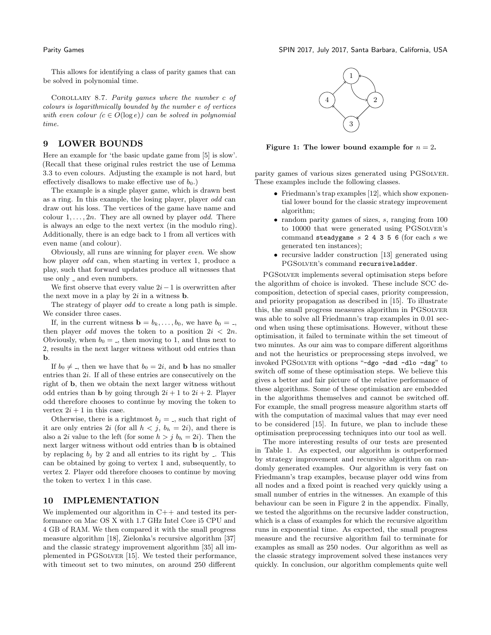This allows for identifying a class of parity games that can be solved in polynomial time.

Corollary 8.7. Parity games where the number c of colours is logarithmically bounded by the number e of vertices with even colour  $(c \in O(\log e))$  can be solved in polynomial time.

### 9 LOWER BOUNDS

Here an example for 'the basic update game from [\[5\]](#page-9-28) is slow'. (Recall that these original rules restrict the use of Lemma [3.3](#page-3-0) to even colours. Adjusting the example is not hard, but effectively disallows to make effective use of  $b_0$ .)

The example is a single player game, which is drawn best as a ring. In this example, the losing player, player odd can draw out his loss. The vertices of the game have name and colour  $1, \ldots, 2n$ . They are all owned by player *odd*. There is always an edge to the next vertex (in the modulo ring). Additionally, there is an edge back to 1 from all vertices with even name (and colour).

Obviously, all runs are winning for player even. We show how player odd can, when starting in vertex 1, produce a play, such that forward updates produce all witnesses that use only  $\lrcorner$  and even numbers.

We first observe that every value  $2i-1$  is overwritten after the next move in a play by  $2i$  in a witness **b**.

The strategy of player odd to create a long path is simple. We consider three cases.

If, in the current witness  $\mathbf{b} = b_k, \ldots, b_0$ , we have  $b_0 = 0$ , then player *odd* moves the token to a position  $2i < 2n$ . Obviously, when  $b_0 = 1$ , then moving to 1, and thus next to 2, results in the next larger witness without odd entries than b.

If  $b_0 \neq b_0$ , then we have that  $b_0 = 2i$ , and **b** has no smaller entries than 2i. If all of these entries are consecutively on the right of b, then we obtain the next larger witness without odd entries than **b** by going through  $2i + 1$  to  $2i + 2$ . Player odd therefore chooses to continue by moving the token to vertex  $2i + 1$  in this case.

Otherwise, there is a rightmost  $b_j = 0$ , such that right of it are only entries 2i (for all  $h < j$ ,  $b_h = 2i$ ), and there is also a 2*i* value to the left (for some  $h > j$   $b_h = 2i$ ). Then the next larger witness without odd entries than b is obtained by replacing  $b_i$  by 2 and all entries to its right by  $\ldots$ . This can be obtained by going to vertex 1 and, subsequently, to vertex 2. Player odd therefore chooses to continue by moving the token to vertex 1 in this case.

# 10 IMPLEMENTATION

We implemented our algorithm in  $C++$  and tested its performance on Mac OS X with 1.7 GHz Intel Core i5 CPU and 4 GB of RAM. We then compared it with the small progress measure algorithm [\[18\]](#page-9-5), Zielonka's recursive algorithm [\[37\]](#page-9-14) and the classic strategy improvement algorithm [\[35\]](#page-9-13) all implemented in PGSolver [\[15\]](#page-9-31). We tested their performance, with timeout set to two minutes, on around 250 different



Figure 1: The lower bound example for  $n = 2$ .

parity games of various sizes generated using PGSolver. These examples include the following classes.

- Friedmann's trap examples [\[12\]](#page-9-32), which show exponential lower bound for the classic strategy improvement algorithm;
- random parity games of sizes, s, ranging from 100 to 10000 that were generated using PGSOLVER's command steadygame  $s$  2 4 3 5 6 (for each  $s$  we generated ten instances);
- recursive ladder construction [\[13\]](#page-9-33) generated using PGSOLVER's command recursiveladder.

PGSolver implements several optimisation steps before the algorithm of choice is invoked. These include SCC decomposition, detection of special cases, priority compression, and priority propagation as described in [\[15\]](#page-9-31). To illustrate this, the small progress measures algorithm in PGSolver was able to solve all Friedmann's trap examples in 0.01 second when using these optimisations. However, without these optimisation, it failed to terminate within the set timeout of two minutes. As our aim was to compare different algorithms and not the heuristics or preprocessing steps involved, we invoked PGSolver with options "-dgo -dsd -dlo -dsg" to switch off some of these optimisation steps. We believe this gives a better and fair picture of the relative performance of these algorithms. Some of these optimisation are embedded in the algorithms themselves and cannot be switched off. For example, the small progress measure algorithm starts off with the computation of maximal values that may ever need to be considered [\[15\]](#page-9-31). In future, we plan to include these optimisation preprocessing techniques into our tool as well.

The more interesting results of our tests are presented in Table [1.](#page-9-34) As expected, our algorithm is outperformed by strategy improvement and recursive algorithm on randomly generated examples. Our algorithm is very fast on Friedmann's trap examples, because player odd wins from all nodes and a fixed point is reached very quickly using a small number of entries in the witnesses. An example of this behaviour can be seen in Figure [2](#page-10-1) in the appendix. Finally, we tested the algorithms on the recursive ladder construction, which is a class of examples for which the recursive algorithm runs in exponential time. As expected, the small progress measure and the recursive algorithm fail to terminate for examples as small as 250 nodes. Our algorithm as well as the classic strategy improvement solved these instances very quickly. In conclusion, our algorithm complements quite well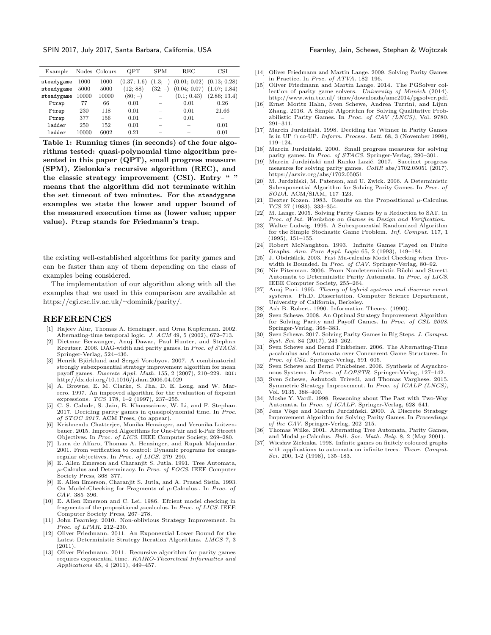SPIN 2017, July 2017, Santa Barbara, California, USA Fearnley, Jain, Schewe, Stephan & Wojtczak

<span id="page-9-34"></span>

| Example    |       | Nodes Colours | OPT         | <b>SPM</b> | <b>REC</b>                               | CSI          |
|------------|-------|---------------|-------------|------------|------------------------------------------|--------------|
| steadygame | 1000  | 1000          | (0.37; 1.6) |            | $(1.3; -)$ $(0.01; 0.02)$ $(0.13; 0.28)$ |              |
| steadygame | 5000  | 5000          | (12; 88)    | $(32; -)$  | $(0.04; 0.07)$ $(1.07; 1.84)$            |              |
| steadygame | 10000 | 10000         | $(80; -)$   |            | (0.1; 0.43)                              | (2.86; 13.4) |
| Ftrap      | 77    | 66            | 0.01        |            | 0.01                                     | 0.26         |
| Ftrap      | 230   | 118           | 0.01        |            | 0.01                                     | 21.66        |
| Ftrap      | 377   | 156           | 0.01        |            | 0.01                                     |              |
| ladder     | 250   | 152           | 0.01        |            |                                          | 0.01         |
| ladder     | 10000 | 6002          | 0.21        |            |                                          | 0.01         |
|            |       |               |             |            |                                          |              |

Table 1: Running times (in seconds) of the four algorithms tested: quasi-polynomial time algorithm presented in this paper (QPT), small progress measure (SPM), Zielonka's recursive algorithm (REC), and the classic strategy improvement (CSI). Entry " $-$ " means that the algorithm did not terminate within the set timeout of two minutes. For the steadygame examples we state the lower and upper bound of the measured execution time as (lower value; upper value). Ftrap stands for Friedmann's trap.

the existing well-established algorithms for parity games and can be faster than any of them depending on the class of examples being considered.

The implementation of our algorithm along with all the examples that we used in this comparison are available at [https://cgi.csc.liv.ac.uk/](https://cgi.csc.liv.ac.uk/~dominik/parity/)∼dominik/parity/.

#### REFERENCES

- <span id="page-9-15"></span>[1] Rajeev Alur, Thomas A. Henzinger, and Orna Kupferman. 2002. Alternating-time temporal logic. J. ACM 49, 5 (2002), 672–713.
- <span id="page-9-0"></span>Dietmar Berwanger, Anuj Dawar, Paul Hunter, and Stephan Kreutzer. 2006. DAG-width and parity games. In Proc. of STACS. Springer-Verlag, 524–436.
- [3] Henrik Björklund and Sergei Vorobyov. 2007. A combinatorial strongly subexponential strategy improvement algorithm for mean payoff games. Discrete Appl. Math. 155, 2 (2007), 210–229. DOI: <http://dx.doi.org/10.1016/j.dam.2006.04.029>
- [4] A. Browne, E. M. Clarke, S. Jha, D. E. Long, and W. Marrero. 1997. An improved algorithm for the evaluation of fixpoint expressions. TCS 178, 1-2 (1997), 237-255.
- <span id="page-9-28"></span>[5] C. S. Calude, S. Jain, B. Khoussainov, W. Li, and F. Stephan. 2017. Deciding parity games in quasipolynomial time. In Proc. of STOC 2017. ACM Press, (to appear).
- <span id="page-9-1"></span>[6] Krishnendu Chatterjee, Monika Henzinger, and Veronika Loitzenbauer. 2015. Improved Algorithms for One-Pair and k-Pair Streett Objectives. In Proc. of LICS. IEEE Computer Society, 269–280.
- <span id="page-9-16"></span>Luca de Alfaro, Thomas A. Henzinger, and Rupak Majumdar. 2001. From verification to control: Dynamic programs for omegaregular objectives. In Proc. of LICS. 279-290.
- <span id="page-9-2"></span>[8] E. Allen Emerson and Charanjit S. Jutla. 1991. Tree Automata,  $\mu$ -Calculus and Determinacy. In Proc. of FOCS. IEEE Computer Society Press, 368–377.
- <span id="page-9-17"></span>[9] E. Allen Emerson, Charanjit S. Jutla, and A. Prasad Sistla. 1993. On Model-Checking for Fragments of  $\mu$ -Calculus.. In Proc. of CAV. 385–396.
- <span id="page-9-3"></span>[10] E. Allen Emerson and C. Lei. 1986. Efcient model checking in fragments of the propositional  $\mu$ -calculus. In *Proc. of LICS*. IEEE Computer Society Press, 267–278.
- <span id="page-9-4"></span>[11] John Fearnley. 2010. Non-oblivious Strategy Improvement. In Proc. of LPAR. 212–230.
- <span id="page-9-32"></span>[12] Oliver Friedmann. 2011. An Exponential Lower Bound for the Latest Deterministic Strategy Iteration Algorithms. LMCS 7, 3  $(2011).$
- <span id="page-9-33"></span>[13] Oliver Friedmann. 2011. Recursive algorithm for parity games requires exponential time. RAIRO-Theoretical Informatics and Applications 45, 4 (2011), 449–457.
- <span id="page-9-27"></span>[14] Oliver Friedmann and Martin Lange. 2009. Solving Parity Games in Practice. In Proc. of ATVA. 182–196.
- <span id="page-9-31"></span>[15] Oliver Friedmann and Martin Lange. 2014. The PGSolver collection of parity game solvers. University of Munich (2014). http://www.win.tue.nl/ timw/downloads/amc2014/pgsolver.pdf.
- <span id="page-9-22"></span>[16] Ernst Moritz Hahn, Sven Schewe, Andrea Turrini, and Lijun Zhang. 2016. A Simple Algorithm for Solving Qualitative Probabilistic Parity Games. In Proc. of CAV (LNCS), Vol. 9780. 291–311.
- <span id="page-9-25"></span>[17] Marcin Jurdziński. 1998. Deciding the Winner in Parity Games Is in UP ∩ co-UP. Inform. Process. Lett. 68, 3 (November 1998), 119–124.
- <span id="page-9-5"></span>[18] Marcin Jurdziński. 2000. Small progress measures for solving parity games. In Proc. of STACS. Springer-Verlag, 290–301.
- <span id="page-9-29"></span>[19] Marcin Jurdziński and Ranko Lazić. 2017. Succinct progress measures for solving parity games. CoRR abs/1702.05051 (2017). <https://arxiv.org/abs/1702.05051>
- <span id="page-9-6"></span>[20] M. Jurdziński, M. Paterson, and U. Zwick. 2006. A Deterministic Subexponential Algorithm for Solving Parity Games. In Proc. of SODA. ACM/SIAM, 117–123.
- <span id="page-9-18"></span>[21] Dexter Kozen. 1983. Results on the Propositional  $\mu$ -Calculus. TCS 27 (1983), 333–354.
- <span id="page-9-7"></span>[22] M. Lange. 2005. Solving Parity Games by a Reduction to SAT. In Proc. of Int. Workshop on Games in Design and Verification.
- [23] Walter Ludwig. 1995. A Subexponential Randomized Algorithm for the Simple Stochastic Game Problem. Inf. Comput. 117, 1 (1995), 151–155.
- <span id="page-9-26"></span>[24] Robert McNaughton. 1993. Infinite Games Played on Finite Graphs. Ann. Pure Appl. Logic 65, 2 (1993), 149–184.
- <span id="page-9-8"></span>[25] J. Obdržálek. 2003. Fast Mu-calculus Model Checking when Treewidth is Bounded. In Proc. of CAV. Springer-Verlag, 80–92.
- <span id="page-9-23"></span>[26] Nir Piterman. 2006. From Nondeterministic Büchi and Streett Automata to Deterministic Parity Automata. In Proc. of LICS. IEEE Computer Society, 255–264.
- <span id="page-9-9"></span>[27] Anuj Puri. 1995. Theory of hybrid systems and discrete event systems. Ph.D. Dissertation. Computer Science Department, University of California, Berkeley.
- <span id="page-9-30"></span>[28] Ash B. Robert. 1990. Information Theory. (1990).
- <span id="page-9-10"></span>Sven Schewe. 2008. An Optimal Strategy Improvement Algorithm for Solving Parity and Payoff Games. In Proc. of CSL 2008. Springer-Verlag, 368–383.
- <span id="page-9-11"></span>Sven Schewe. 2017. Solving Parity Games in Big Steps. J. Comput. Syst. Sci. 84 (2017), 243–262.
- <span id="page-9-20"></span>[31] Sven Schewe and Bernd Finkbeiner. 2006. The Alternating-Time µ-calculus and Automata over Concurrent Game Structures. In Proc. of CSL. Springer-Verlag, 591-605.
- <span id="page-9-24"></span>[32] Sven Schewe and Bernd Finkbeiner. 2006. Synthesis of Asynchronous Systems. In Proc. of LOPSTR. Springer-Verlag, 127–142.
- <span id="page-9-12"></span>[33] Sven Schewe, Ashutosh Trivedi, and Thomas Varghese. 2015. Symmetric Strategy Improvement. In Proc. of ICALP (LNCS), Vol. 9135. 388–400.
- <span id="page-9-21"></span>[34] Moshe Y. Vardi. 1998. Reasoning about The Past with Two-Way Automata. In Proc. of ICALP. Springer-Verlag, 628–641.
- <span id="page-9-13"></span>[35] Jens Vöge and Marcin Jurdziński. 2000. A Discrete Strategy Improvement Algorithm for Solving Parity Games. In Proceedings of the CAV. Springer-Verlag, 202–215.
- <span id="page-9-19"></span>[36] Thomas Wilke. 2001. Alternating Tree Automata, Parity Games, and Modal µ-Calculus. Bull. Soc. Math. Belg. 8, 2 (May 2001).
- <span id="page-9-14"></span>[37] Wiesław Zielonka. 1998. Infinite games on finitely coloured graphs with applications to automata on infinite trees. Theor. Comput. Sci. 200, 1-2 (1998), 135–183.